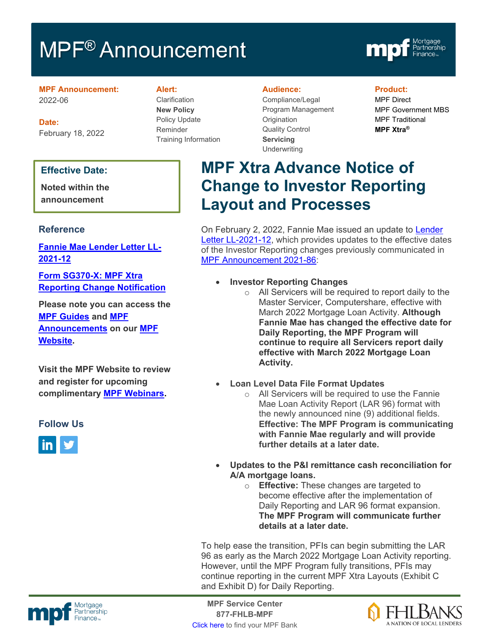# MPF<sup>®</sup> Announcement



### **MPF Announcement:** 2022-06

**Date:** February 18, 2022

### **Effective Date:**

**Noted within the announcement**

### **Reference**

**[Fannie Mae Lender Letter LL-](https://singlefamily.fanniemae.com/media/26096/display)[2021-12](https://singlefamily.fanniemae.com/media/26096/display)**

**[Form SG370-X: MPF Xtra](https://www.fhlbmpf.com/docs/default-source/form-sg370-x-mpf-xtra-investor-reporting-change-request/form-sg370-x-mpf-xtra-investor-reporting-change-request.pdf?sfvrsn=6b6ebe28_2)  [Reporting Change Notification](https://www.fhlbmpf.com/docs/default-source/form-sg370-x-mpf-xtra-investor-reporting-change-request/form-sg370-x-mpf-xtra-investor-reporting-change-request.pdf?sfvrsn=6b6ebe28_2)**

**Please note you can access the [MPF Guides](https://fhlbmpf.com/mpf-guides/guides) and [MPF](https://fhlbmpf.com/mpf-guides/announcements)  [Announcements](https://fhlbmpf.com/mpf-guides/announcements) on our [MPF](https://fhlbmpf.com/)  [Website.](https://fhlbmpf.com/)** 

**Visit the MPF Website to review and register for upcoming complimentary [MPF Webinars.](https://www.fhlbmpf.com/education/upcoming-webinars)**

### **Follow Us**



#### **Alert:**

Clarification **New Policy** Policy Update Reminder Training Information

#### **Audience:**

Compliance/Legal Program Management **Origination** Quality Control **Servicing Underwriting** 

### **Product:**

MPF Direct MPF Government MBS MPF Traditional **MPF Xtra®**

## **MPF Xtra Advance Notice of Change to Investor Reporting Layout and Processes**

On February 2, 2022, Fannie Mae issued an update to [Lender](https://singlefamily.fanniemae.com/media/26096/display)  [Letter LL-2021-12,](https://singlefamily.fanniemae.com/media/26096/display) which provides updates to the effective dates of the Investor Reporting changes previously communicated in [MPF Announcement 2021-86:](https://www.fhlbmpf.com/about-us/news/details/2021/12/08/mpf-announcement-2021-86)

- **Investor Reporting Changes**
	- $\circ$  All Servicers will be required to report daily to the Master Servicer, Computershare, effective with March 2022 Mortgage Loan Activity. **Although Fannie Mae has changed the effective date for Daily Reporting, the MPF Program will continue to require all Servicers report daily effective with March 2022 Mortgage Loan Activity.**
- **Loan Level Data File Format Updates**
	- o All Servicers will be required to use the Fannie Mae Loan Activity Report (LAR 96) format with the newly announced nine (9) additional fields. **Effective: The MPF Program is communicating with Fannie Mae regularly and will provide further details at a later date.**
- **Updates to the P&I remittance cash reconciliation for A/A mortgage loans.**
	- o **Effective:** These changes are targeted to become effective after the implementation of Daily Reporting and LAR 96 format expansion. **The MPF Program will communicate further details at a later date.**

To help ease the transition, PFIs can begin submitting the LAR 96 as early as the March 2022 Mortgage Loan Activity reporting. However, until the MPF Program fully transitions, PFIs may continue reporting in the current MPF Xtra Layouts (Exhibit C and Exhibit D) for Daily Reporting.



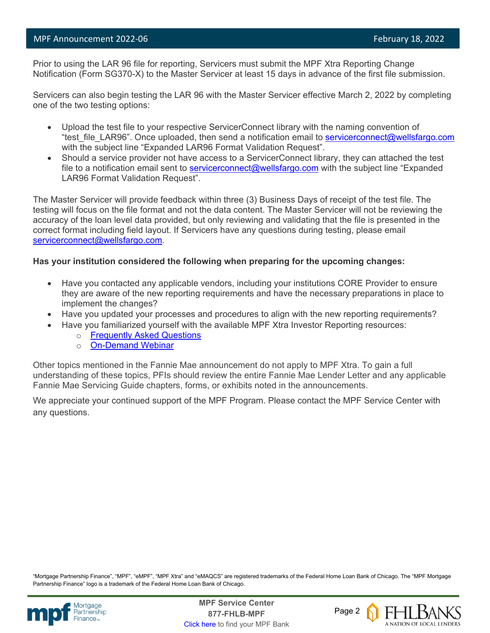Prior to using the LAR 96 file for reporting, Servicers must submit the MPF Xtra Reporting Change Notification (Form SG370-X) to the Master Servicer at least 15 days in advance of the first file submission.

Servicers can also begin testing the LAR 96 with the Master Servicer effective March 2, 2022 by completing one of the two testing options:

- Upload the test file to your respective ServicerConnect library with the naming convention of "test file LAR96". Once uploaded, then send a notification email to [servicerconnect@wellsfargo.com](mailto:servicerconnect@wellsfargo.com) with the subject line "Expanded LAR96 Format Validation Request".
- Should a service provider not have access to a ServicerConnect library, they can attached the test file to a notification email sent to [servicerconnect@wellsfargo.com](mailto:servicerconnect@wellsfargo.com) with the subject line "Expanded" LAR96 Format Validation Request".

The Master Servicer will provide feedback within three (3) Business Days of receipt of the test file. The testing will focus on the file format and not the data content. The Master Servicer will not be reviewing the accuracy of the loan level data provided, but only reviewing and validating that the file is presented in the correct format including field layout. If Servicers have any questions during testing, please email [servicerconnect@wellsfargo.com.](mailto:servicerconnect@wellsfargo.com)

### **Has your institution considered the following when preparing for the upcoming changes:**

- Have you contacted any applicable vendors, including your institutions CORE Provider to ensure they are aware of the new reporting requirements and have the necessary preparations in place to implement the changes?
- Have you updated your processes and procedures to align with the new reporting requirements?
- Have you familiarized yourself with the available MPF Xtra Investor Reporting resources:
	- o [Frequently Asked Questions](https://www.fhlbmpf.com/docs/default-source/mpf-xtra-investor-reporting-changes-frequently-asked-questions-(faqs)/mpf-xtra-investor-reporting-changes_faq.pdf?sfvrsn=990132c1_4)
	- o [On-Demand Webinar](https://register.gotowebinar.com/recording/7412989178062543887)

Other topics mentioned in the Fannie Mae announcement do not apply to MPF Xtra. To gain a full understanding of these topics, PFIs should review the entire Fannie Mae Lender Letter and any applicable Fannie Mae Servicing Guide chapters, forms, or exhibits noted in the announcements.

We appreciate your continued support of the MPF Program. Please contact the MPF Service Center with any questions.

"Mortgage Partnership Finance", "MPF", "eMPF", "MPF Xtra" and "eMAQCS" are registered trademarks of the Federal Home Loan Bank of Chicago. The "MPF Mortgage Partnership Finance" logo is a trademark of the Federal Home Loan Bank of Chicago.



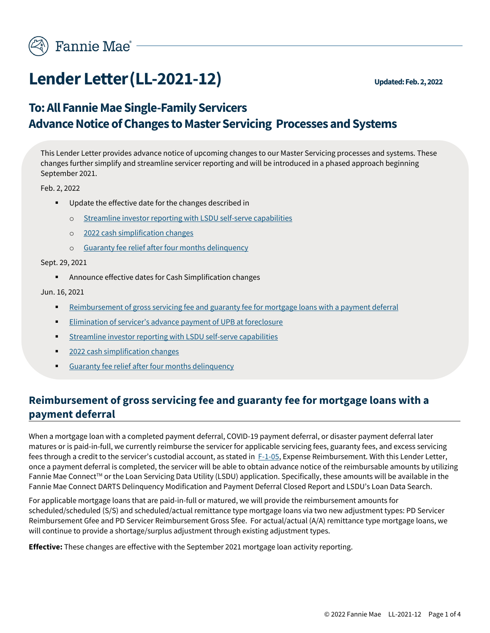

## **Lender Letter (LL-2021-12)** Updated: Feb. 2, 2022

## **To: All Fannie Mae Single-Family Servicers Advance Notice of Changes to Master Servicing Processes and Systems**

This Lender Letter provides advance notice of upcoming changes to our Master Servicing processes and systems. These changes further simplify and streamline servicer reporting and will be introduced in a phased approach beginning September 2021.

Feb. 2, 2022

- Update the effective date for the changes described in
	- o [Streamline investor reporting with LSDU self-serve](#page-3-0) capabilities
	- o [2022 cash simplification changes](#page-3-1)
	- o [Guaranty fee relief after four months delinquency](#page-4-0)

<span id="page-2-0"></span>Sept. 29, 2021

■ Announce effective dates for Cash Simplification changes

Jun. 16, 2021

- **EXECTED FEE INTER FEE ACTES SERVICTS SERVICTS** FEE and guaranty fee for mortgage loans with a payment deferral
- **Elimination of servicer's advance payment of UPB at foreclosure**
- [Streamline investor reporting with LSDU self-serve capabilities](#page-3-0)
- 2022 [cash simplification changes](#page-3-1)
- [Guaranty fee relief after four months delinquency](#page-4-0)

## **Reimbursement of gross servicing fee and guaranty fee for mortgage loans with a payment deferral**

When a mortgage loan with a completed payment deferral, COVID-19 payment deferral, or disaster payment deferral later matures or is paid-in-full, we currently reimburse the servicer for applicable servicing fees, guaranty fees, and excess servicing fees through a credit to the servicer's custodial account, as stated in [F-1-05,](https://servicing-guide.fanniemae.com/THE-SERVICING-GUIDE/Part-F-Servicing-Guide-Procedures-Exhibits-Quick-Referen/Chapter-F-1-Servicing-Guide-Procedures/F-1-05-Expense-Reimbursement/1045188371/F-1-05-Expense-Reimbursement-02-12-2020.htm?SearchType=sf) Expense Reimbursement. With this Lender Letter, once a payment deferral is completed, the servicer will be able to obtain advance notice of the reimbursable amounts by utilizing Fannie Mae Connect™ or the Loan Servicing Data Utility (LSDU) application. Specifically, these amounts will be available in the Fannie Mae Connect DARTS Delinquency Modification and Payment Deferral Closed Report and LSDU's Loan Data Search.

For applicable mortgage loans that are paid-in-full or matured, we will provide the reimbursement amounts for scheduled/scheduled (S/S) and scheduled/actual remittance type mortgage loans via two new adjustment types: PD Servicer Reimbursement Gfee and PD Servicer Reimbursement Gross Sfee. For actual/actual (A/A) remittance type mortgage loans, we will continue to provide a shortage/surplus adjustment through existing adjustment types.

**Effective:** These changes are effective with the September 2021 mortgage loan activity reporting.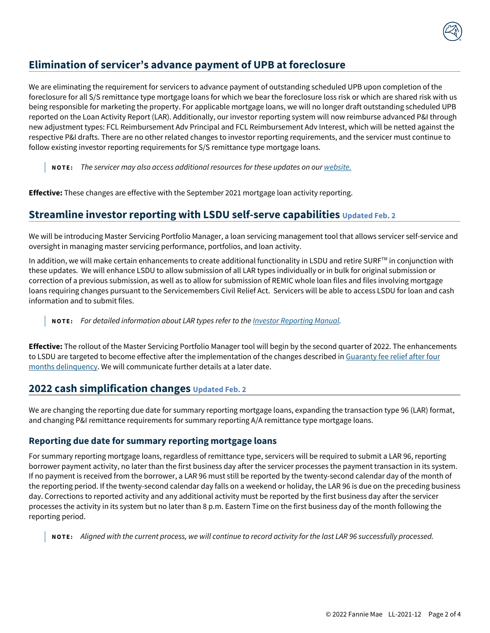## **Elimination of servicer's advance payment of UPB at foreclosure**

We are eliminating the requirement for servicers to advance payment of outstanding scheduled UPB upon completion of the foreclosure for all S/S remittance type mortgage loans for which we bear the foreclosure loss risk or which are shared risk with us being responsible for marketing the property. For applicable mortgage loans, we will no longer draft outstanding scheduled UPB reported on the Loan Activity Report (LAR). Additionally, our investor reporting system will now reimburse advanced P&I through new adjustment types: FCL Reimbursement Adv Principal and FCL Reimbursement Adv Interest, which will be netted against the respective P&I drafts. There are no other related changes to investor reporting requirements, and the servicer must continue to follow existing investor reporting requirements for S/S remittance type mortgage loans.

**N O T E :** *The servicer may also access additional resources for these updates on our [website.](https://singlefamily.fanniemae.com/servicing/master-servicing-simplification-changes)*

<span id="page-3-0"></span>**Effective:** These changes are effective with the September 2021 mortgage loan activity reporting.

## **Streamline investor reporting with LSDU self-serve capabilities Updated Feb. 2**

We will be introducing Master Servicing Portfolio Manager, a loan servicing management tool that allows servicer self-service and oversight in managing master servicing performance, portfolios, and loan activity.

In addition, we will make certain enhancements to create additional functionality in LSDU and retire SURF™ in conjunction with these updates. We will enhance LSDU to allow submission of all LAR types individually or in bulk for original submission or correction of a previous submission, as well as to allow for submission of REMIC whole loan files and files involving mortgage loans requiring changes pursuant to the Servicemembers Civil Relief Act. Servicers will be able to access LSDU for loan and cash information and to submit files.

**N O T E :** *For detailed information about LAR types refer to th[e Investor Reporting Manual.](https://singlefamily.fanniemae.com/media/document/pdf/investor-reporting-manual)* 

**Effective:** The rollout of the Master Servicing Portfolio Manager tool will begin by the second quarter of 2022. The enhancements to LSDU are targeted to become effective after the implementation of the changes described in Guaranty fee relief after four [months delinquency.](#page-4-0) We will communicate further details at a later date.

## <span id="page-3-1"></span>**2022 cash simplification changes Updated Feb. 2**

We are changing the reporting due date for summary reporting mortgage loans, expanding the transaction type 96 (LAR) format, and changing P&I remittance requirements for summary reporting A/A remittance type mortgage loans.

### <span id="page-3-2"></span>**Reporting due date for summary reporting mortgage loans**

For summary reporting mortgage loans, regardless of remittance type, servicers will be required to submit a LAR 96, reporting borrower payment activity, no later than the first business day after the servicer processes the payment transaction in its system. If no payment is received from the borrower, a LAR 96 must still be reported by the twenty-second calendar day of the month of the reporting period. If the twenty-second calendar day falls on a weekend or holiday, the LAR 96 is due on the preceding business day. Corrections to reported activity and any additional activity must be reported by the first business day after the servicer processes the activity in its system but no later than 8 p.m. Eastern Time on the first business day of the month following the reporting period.

**N O T E :** *Aligned with the current process, we will continue to record activity for the last LAR 96 successfully processed.*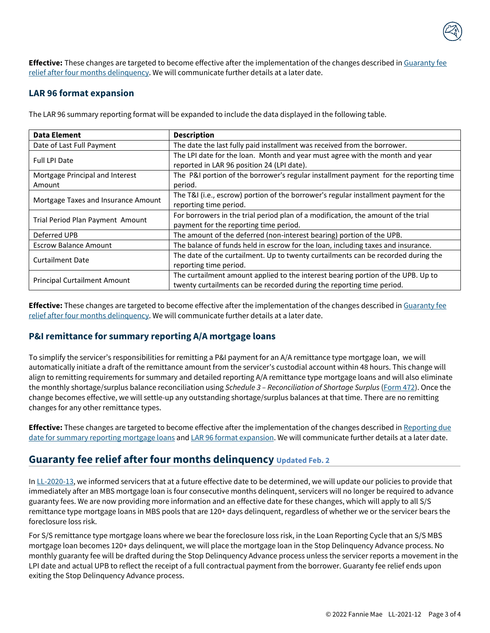

**Effective:** These changes are targeted to become effective after the implementation of the changes described in [Guaranty fee](#page-4-0)  [relief after four months delinquency.](#page-4-0) We will communicate further details at a later date.

### <span id="page-4-1"></span>**LAR 96 format expansion**

| <b>Data Element</b>                 | <b>Description</b>                                                                   |
|-------------------------------------|--------------------------------------------------------------------------------------|
| Date of Last Full Payment           | The date the last fully paid installment was received from the borrower.             |
| <b>Full LPI Date</b>                | The LPI date for the loan. Month and year must agree with the month and year         |
|                                     | reported in LAR 96 position 24 (LPI date).                                           |
| Mortgage Principal and Interest     | The P&I portion of the borrower's regular installment payment for the reporting time |
| Amount                              | period.                                                                              |
| Mortgage Taxes and Insurance Amount | The T&I (i.e., escrow) portion of the borrower's regular installment payment for the |
|                                     | reporting time period.                                                               |
| Trial Period Plan Payment Amount    | For borrowers in the trial period plan of a modification, the amount of the trial    |
|                                     | payment for the reporting time period.                                               |
| Deferred UPB                        | The amount of the deferred (non-interest bearing) portion of the UPB.                |
| <b>Escrow Balance Amount</b>        | The balance of funds held in escrow for the loan, including taxes and insurance.     |
| <b>Curtailment Date</b>             | The date of the curtailment. Up to twenty curtailments can be recorded during the    |
|                                     | reporting time period.                                                               |
| <b>Principal Curtailment Amount</b> | The curtailment amount applied to the interest bearing portion of the UPB. Up to     |
|                                     | twenty curtailments can be recorded during the reporting time period.                |

The LAR 96 summary reporting format will be expanded to include the data displayed in the following table.

**Effective:** These changes are targeted to become effective after the implementation of the changes described i[n Guaranty fee](#page-4-0)  [relief after four months delinquency.](#page-4-0) We will communicate further details at a later date.

### **P&I remittance for summary reporting A/A mortgage loans**

To simplify the servicer's responsibilities for remitting a P&I payment for an A/A remittance type mortgage loan, we will automatically initiate a draft of the remittance amount from the servicer's custodial account within 48 hours. This change will align to remitting requirements for summary and detailed reporting A/A remittance type mortgage loans and will also eliminate the monthly shortage/surplus balance reconciliation using *Schedule 3 – Reconciliation of Shortage Surplus* [\(Form 472\)](https://www.fanniemae.com/content/guide_form/472.pdf). Once the change becomes effective, we will settle-up any outstanding shortage/surplus balances at that time. There are no remitting changes for any other remittance types.

**Effective:** These changes are targeted to become effective after the implementation of the changes described in [Reporting due](#page-3-2)  [date for summary reporting mortgage loans](#page-3-2) an[d LAR 96 format expansion.](#page-4-1) We will communicate further details at a later date.

## <span id="page-4-0"></span>**Guaranty fee relief after four months delinquency Updated Feb. 2**

I[n LL-2020-13,](https://servicing-guide.fanniemae.com/THE-SERVICING-GUIDE/Lender-Letter/2109967011/Lender-Letter-LL-2020-13-Automatic-Reclassification-of-Delinquent-MBS-Mortgage-Loans.htm?SearchType=coveo&_ga=2.50468393.1677767452.1623421268-1125242538.1549930684) we informed servicers that at a future effective date to be determined, we will update our policies to provide that immediately after an MBS mortgage loan is four consecutive months delinquent, servicers will no longer be required to advance guaranty fees. We are now providing more information and an effective date for these changes, which will apply to all S/S remittance type mortgage loans in MBS pools that are 120+ days delinquent, regardless of whether we or the servicer bears the foreclosure loss risk.

For S/S remittance type mortgage loans where we bear the foreclosure loss risk, in the Loan Reporting Cycle that an S/S MBS mortgage loan becomes 120+ days delinquent, we will place the mortgage loan in the Stop Delinquency Advance process. No monthly guaranty fee will be drafted during the Stop Delinquency Advance process unless the servicer reports a movement in the LPI date and actual UPB to reflect the receipt of a full contractual payment from the borrower. Guaranty fee relief ends upon exiting the Stop Delinquency Advance process.